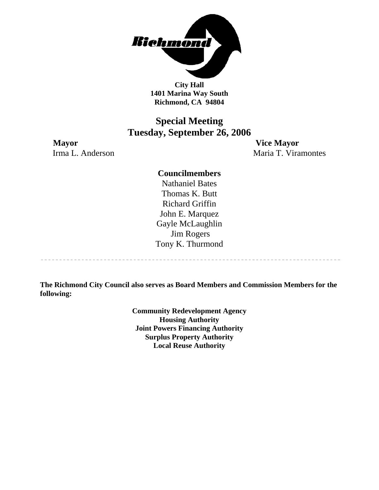

**City Hall 1401 Marina Way South Richmond, CA 94804** 

### **Special Meeting Tuesday, September 26, 2006**

**Mayor Vice Mayor** Irma L. Anderson Maria T. Viramontes

---------------------------------

#### **Councilmembers**

Nathaniel Bates Thomas K. Butt Richard Griffin John E. Marquez Gayle McLaughlin Jim Rogers Tony K. Thurmond

**The Richmond City Council also serves as Board Members and Commission Members for the following:** 

> **Community Redevelopment Agency Housing Authority Joint Powers Financing Authority Surplus Property Authority Local Reuse Authority**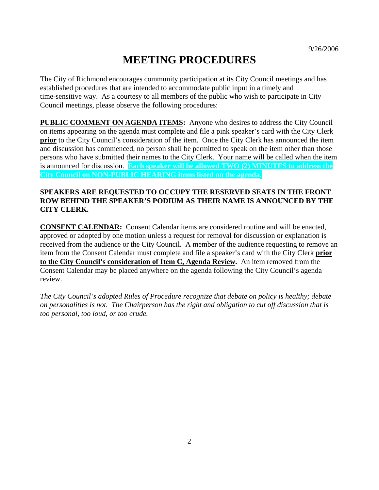# **MEETING PROCEDURES**

The City of Richmond encourages community participation at its City Council meetings and has established procedures that are intended to accommodate public input in a timely and time-sensitive way. As a courtesy to all members of the public who wish to participate in City Council meetings, please observe the following procedures:

**PUBLIC COMMENT ON AGENDA ITEMS:** Anyone who desires to address the City Council on items appearing on the agenda must complete and file a pink speaker's card with the City Clerk **prior** to the City Council's consideration of the item. Once the City Clerk has announced the item and discussion has commenced, no person shall be permitted to speak on the item other than those persons who have submitted their names to the City Clerk. Your name will be called when the item is announced for discussion. **Each speaker will be allowed TWO (2) MINUTES to address the City Council on NON-PUBLIC HEARING items listed on the agenda.** 

#### **SPEAKERS ARE REQUESTED TO OCCUPY THE RESERVED SEATS IN THE FRONT ROW BEHIND THE SPEAKER'S PODIUM AS THEIR NAME IS ANNOUNCED BY THE CITY CLERK.**

**CONSENT CALENDAR:** Consent Calendar items are considered routine and will be enacted, approved or adopted by one motion unless a request for removal for discussion or explanation is received from the audience or the City Council. A member of the audience requesting to remove an item from the Consent Calendar must complete and file a speaker's card with the City Clerk **prior to the City Council's consideration of Item C, Agenda Review.** An item removed from the Consent Calendar may be placed anywhere on the agenda following the City Council's agenda review.

*The City Council's adopted Rules of Procedure recognize that debate on policy is healthy; debate on personalities is not. The Chairperson has the right and obligation to cut off discussion that is too personal, too loud, or too crude.*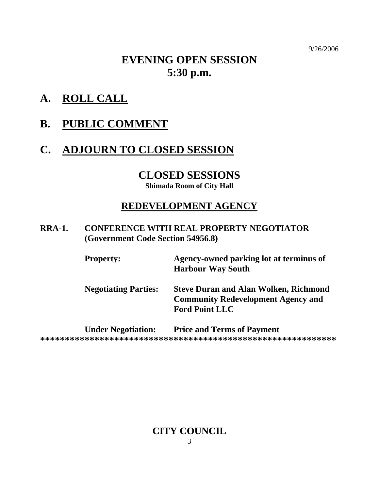9/26/2006

## **EVENING OPEN SESSION 5:30 p.m.**

- **A. ROLL CALL**
- **B. PUBLIC COMMENT**

## **C. ADJOURN TO CLOSED SESSION**

## **CLOSED SESSIONS**

**Shimada Room of City Hall** 

### **REDEVELOPMENT AGENCY**

**RRA-1. CONFERENCE WITH REAL PROPERTY NEGOTIATOR (Government Code Section 54956.8)** 

| <b>Property:</b>            | Agency-owned parking lot at terminus of<br><b>Harbour Way South</b>                                                |
|-----------------------------|--------------------------------------------------------------------------------------------------------------------|
| <b>Negotiating Parties:</b> | <b>Steve Duran and Alan Wolken, Richmond</b><br><b>Community Redevelopment Agency and</b><br><b>Ford Point LLC</b> |
|                             | $\mathbf{r}$ is the $\mathbf{r}$ in $\mathbf{r}$ in $\mathbf{r}$                                                   |

**Under Negotiation: Price and Terms of Payment \*\*\*\*\*\*\*\*\*\*\*\*\*\*\*\*\*\*\*\*\*\*\*\*\*\*\*\*\*\*\*\*\*\*\*\*\*\*\*\*\*\*\*\*\*\*\*\*\*\*\*\*\*\*\*\*\*\*\*\*** 

# **CITY COUNCIL**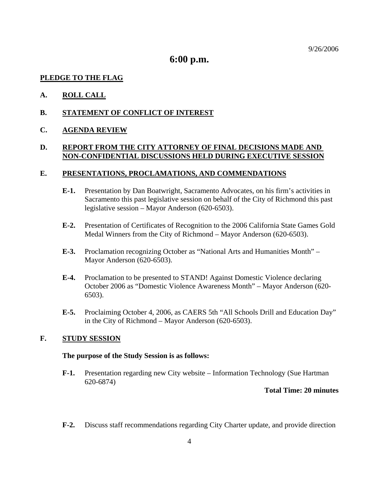9/26/2006

### **6:00 p.m.**

#### **PLEDGE TO THE FLAG**

#### **A. ROLL CALL**

#### **B. STATEMENT OF CONFLICT OF INTEREST**

#### **C. AGENDA REVIEW**

#### **D. REPORT FROM THE CITY ATTORNEY OF FINAL DECISIONS MADE AND NON-CONFIDENTIAL DISCUSSIONS HELD DURING EXECUTIVE SESSION**

#### **E. PRESENTATIONS, PROCLAMATIONS, AND COMMENDATIONS**

- **E-1.** Presentation by Dan Boatwright, Sacramento Advocates, on his firm's activities in Sacramento this past legislative session on behalf of the City of Richmond this past legislative session – Mayor Anderson (620-6503).
- **E-2.** Presentation of Certificates of Recognition to the 2006 California State Games Gold Medal Winners from the City of Richmond – Mayor Anderson (620-6503).
- **E-3.** Proclamation recognizing October as "National Arts and Humanities Month" Mayor Anderson (620-6503).
- **E-4.** Proclamation to be presented to STAND! Against Domestic Violence declaring October 2006 as "Domestic Violence Awareness Month" – Mayor Anderson (620- 6503).
- **E-5.** Proclaiming October 4, 2006, as CAERS 5th "All Schools Drill and Education Day" in the City of Richmond – Mayor Anderson (620-6503).

#### **F. STUDY SESSION**

#### **The purpose of the Study Session is as follows:**

**F-1.** Presentation regarding new City website – Information Technology (Sue Hartman 620-6874)

#### **Total Time: 20 minutes**

**F-2.** Discuss staff recommendations regarding City Charter update, and provide direction